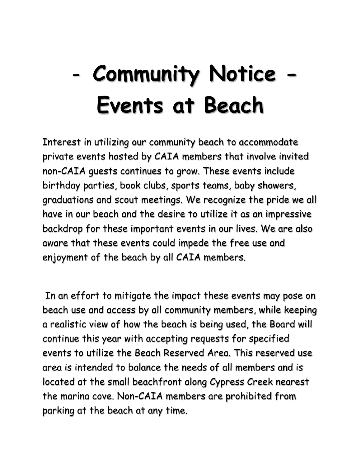## - **Community Notice - Events at Beach**

Interest in utilizing our community beach to accommodate private events hosted by CAIA members that involve invited non-CAIA guests continues to grow. These events include birthday parties, book clubs, sports teams, baby showers, graduations and scout meetings. We recognize the pride we all have in our beach and the desire to utilize it as an impressive backdrop for these important events in our lives. We are also aware that these events could impede the free use and enjoyment of the beach by all CAIA members.

In an effort to mitigate the impact these events may pose on beach use and access by all community members, while keeping a realistic view of how the beach is being used, the Board will continue this year with accepting requests for specified events to utilize the Beach Reserved Area. This reserved use area is intended to balance the needs of all members and is located at the small beachfront along Cypress Creek nearest the marina cove. Non-CAIA members are prohibited from parking at the beach at any time.